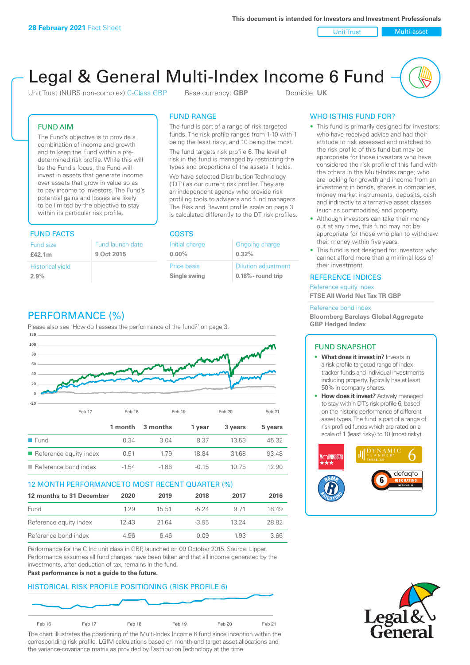Unit Trust Nulti-asset

# Legal & General Multi-Index Income 6 Fund

Unit Trust (NURS non-complex) C-Class GBP Base currency: **GBP** Domicile: UK

### FUND AIM

The Fund's objective is to provide a combination of income and growth and to keep the Fund within a predetermined risk profile. While this will be the Fund's focus, the Fund will invest in assets that generate income over assets that grow in value so as to pay income to investors. The Fund's potential gains and losses are likely to be limited by the objective to stay within its particular risk profile.

### FUND FACTS COSTS

| Fund size<br>£42.1m     | Fund launch date<br>9 Oct 2015 |
|-------------------------|--------------------------------|
| <b>Historical yield</b> |                                |
| 2.9%                    |                                |

### FUND RANGE

The fund is part of a range of risk targeted funds. The risk profile ranges from 1-10 with 1 being the least risky, and 10 being the most.

The fund targets risk profile 6. The level of risk in the fund is managed by restricting the types and proportions of the assets it holds. We have selected Distribution Technology ('DT') as our current risk profiler. They are an independent agency who provide risk profiling tools to advisers and fund managers. The Risk and Reward profile scale on page 3 is calculated differently to the DT risk profiles.

| Initial charge | Ongoing charge             |
|----------------|----------------------------|
| $0.00\%$       | 0.32%                      |
| Price basis    | <b>Dilution adjustment</b> |
| Single swing   | 0.18% - round trip         |

### PERFORMANCE (%)

Please also see 'How do I assess the performance of the fund?' on page 3.



### 12 MONTH PERFORMANCE TO MOST RECENT QUARTER (%)

| 12 months to 31 December | 2020 | 2019  | 2018    | 2017  | 2016  |
|--------------------------|------|-------|---------|-------|-------|
| Fund                     | 129  | 15.51 | $-524$  | 9 71  | 1849  |
| Reference equity index   | 1243 | 21.64 | $-3.95$ | 13 24 | 28.82 |
| Reference bond index     | 4.96 | 646   | O O.9   | 1.93  | 3.66  |

Performance for the C Inc unit class in GBP, launched on 09 October 2015. Source: Lipper. Performance assumes all fund charges have been taken and that all income generated by the investments, after deduction of tax, remains in the fund.

#### **Past performance is not a guide to the future.**

### HISTORICAL RISK PROFILE POSITIONING (RISK PROFILE 6)



The chart illustrates the positioning of the Multi-Index Income 6 fund since inception within the corresponding risk profile. LGIM calculations based on month-end target asset allocations and the variance-covariance matrix as provided by Distribution Technology at the time.

### WHO IS THIS FUND FOR?

- This fund is primarily designed for investors: who have received advice and had their attitude to risk assessed and matched to the risk profile of this fund but may be appropriate for those investors who have considered the risk profile of this fund with the others in the Multi-Index range; who are looking for growth and income from an investment in bonds, shares in companies, money market instruments, deposits, cash and indirectly to alternative asset classes (such as commodities) and property.
- Although investors can take their money out at any time, this fund may not be appropriate for those who plan to withdraw their money within five years.
- This fund is not designed for investors who cannot afford more than a minimal loss of their investment.

### REFERENCE INDICES

Reference equity index **FTSE All World Net Tax TR GBP**

#### Reference bond index

**Bloomberg Barclays Global Aggregate GBP Hedged Index**

### FUND SNAPSHOT

- **• What does it invest in?** Invests in a risk-profile targeted range of index tracker funds and individual investments including property. Typically has at least 50% in company shares.
- **• How does it invest?** Actively managed to stay within DT's risk profile 6, based on the historic performance of different asset types. The fund is part of a range of risk profiled funds which are rated on a scale of 1 (least risky) to 10 (most risky).



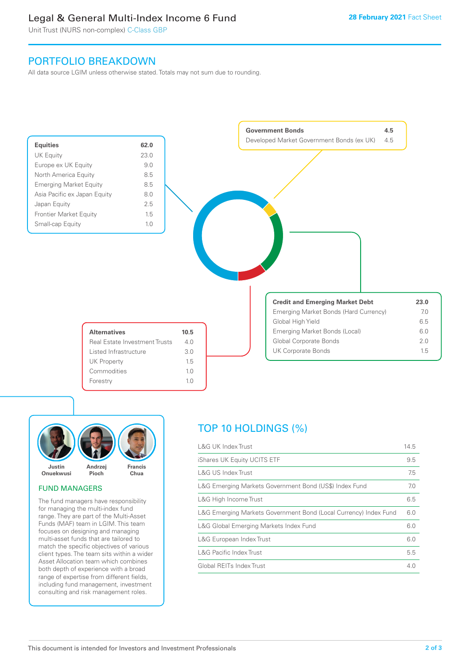### Legal & General Multi-Index Income 6 Fund

Unit Trust (NURS non-complex) C-Class GBP

### PORTFOLIO BREAKDOWN

All data source LGIM unless otherwise stated. Totals may not sum due to rounding.





### FUND MANAGERS

The fund managers have responsibility for managing the multi-index fund range. They are part of the Multi-Asset Funds (MAF) team in LGIM. This team focuses on designing and managing multi-asset funds that are tailored to match the specific objectives of various client types. The team sits within a wider Asset Allocation team which combines both depth of experience with a broad range of expertise from different fields, including fund management, investment consulting and risk management roles.

## TOP 10 HOLDINGS (%)

| <b>L&amp;G UK Index Trust</b>                                    | 14.5 |
|------------------------------------------------------------------|------|
| iShares UK Equity UCITS ETF                                      | 9.5  |
| L&G US Index Trust                                               | 7.5  |
| L&G Emerging Markets Government Bond (US\$) Index Fund           | 7.0  |
| L&G High Income Trust                                            | 6.5  |
| L&G Emerging Markets Government Bond (Local Currency) Index Fund | 6.0  |
| L&G Global Emerging Markets Index Fund                           | 6.0  |
| L&G European Index Trust                                         | 6.0  |
| <b>L&amp;G Pacific Index Trust</b>                               | 5.5  |
| Global REITs Index Trust                                         | 4.0  |